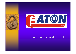



### **Gaton international Co.,Ltd**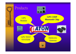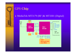

### ♦ MediaTek MT3179 (RF )& MT3301 (Digital)

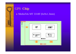

## GPS **Chip**

### ♦ MediaTek MT 3318F (6x9x1.3mm)

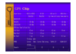

# GPS **Chip**

| Chipset Factory              | MT3179 +& MT3301             | MT 3318                    | SiRF star III            | ATMEL+U-Blox                       |
|------------------------------|------------------------------|----------------------------|--------------------------|------------------------------------|
|                              | MediaTek                     | MediaTek                   |                          | tp://www.sirf.comtp://www.atmel.co |
| SENSITIVITY                  |                              |                            |                          |                                    |
| TRACKING                     | $-159$ dBm                   | $-159$ dBm                 | $-159$ dBm               | $-150$ dBm                         |
| ACQUISITION                  | $-159$ dBm                   | $-159$ dBm                 | $-140$ dBm               | $-140$ dBm                         |
| TTFF(Fast Time To First Fix) |                              |                            |                          |                                    |
| Cold Start                   | 42 sec                       | $\overline{42}$ sec        | $\langle 42 \text{ sec}$ | $34 \text{ sec}$                   |
| Warm Start                   | $35 \text{ sec}$             | $\overline{\text{35}}$ sec | $\langle 35 \rangle$ sec |                                    |
| Hot Start                    | l sec                        | $\langle$ sec              | l sec                    | $\langle 3.5 \text{ sec}$          |
|                              | Tricking<br>mode             |                            |                          |                                    |
| <b>POWER</b>                 | 59mA <sub>X</sub><br>Current | Current 35mA averag        | 75mW @1.5V               | 162mW @3.0V                        |
|                              | average.                     |                            |                          |                                    |
| Channels                     | 32                           | 32                         | 20                       | 16                                 |
|                              |                              |                            |                          |                                    |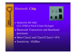



- ♦ MediaTek MT 6601 (5x5 TFBGA Pitch 0.5mm Package)
- ♦ Bluetooth Transceiver and Baseband processor
- Meet Class2 and Class3/Class1+1PA
- ♦ Sensitivity –85dBm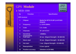## GPS **Module**

#### • MEB-1000

Gaton MEB-1000-\*\* NGN0000A04G **IL LIBRARIAN ANNISET DE L'AUTORITE** 

| <b>No</b>               | <b>Function</b>                    | <b>Specification</b>                                 |  |  |
|-------------------------|------------------------------------|------------------------------------------------------|--|--|
| <b>GPS receiver</b>     |                                    |                                                      |  |  |
| $\overline{1}$          | <b>Chipset</b>                     | <b>MediaTek MT3179 (RF)&amp; MT3301</b><br>(Digital) |  |  |
| 2 <sup>1</sup>          | <b>Frequency</b>                   | L1 1575.42MHz.                                       |  |  |
| 3 <sup>1</sup>          | Code                               | C.A. Code.                                           |  |  |
| $\overline{\mathbf{4}}$ | <b>Channels</b>                    | 32 parallel                                          |  |  |
| 5 <sup>1</sup>          | <b>Sensitivity</b>                 | -159dBm.                                             |  |  |
| $6\phantom{1}$          | (Acquisition)<br><b>Cold start</b> | 42 sec (Signal Strength > 30 dB-HZ)                  |  |  |
| $\overline{7}$          | <b>Warm start</b>                  | 35 sec (Signal Strength > 30 dB-HZ)                  |  |  |
| 8                       | <b>Hot start</b>                   | 1 sec (Signal Strength > 30 dB-HZ)                   |  |  |
| 9                       | <b>Reacquisition</b>               | 0.1 sec typical                                      |  |  |
| 10                      | <b>Position accuracy</b>           | 10 meters at 2D RMS.                                 |  |  |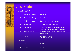

## GPS **Module**

### • MEB-1000

| 11               | <b>Maximum altitude</b>   | 18000 m                                                                        |
|------------------|---------------------------|--------------------------------------------------------------------------------|
| 12 <sub>2</sub>  | <b>Maximum velocity</b>   | $514 \text{ m/s}$                                                              |
| 13               | <b>Trickle power mode</b> | Duty cycle $\leq$ 34%. (Variable)                                              |
| 14               | <b>Update rate</b>        | <b>Continuous operation: 1Hz</b>                                               |
| 15               | <b>Testability</b>        | It shall be able to be tested by SiRF<br>test IV and single channel simulator. |
| 16               | <b>Protocol setup</b>     | It shall store the protocol setup in the<br><b>SRAM memory.</b>                |
| 17               | <b>DGPS</b>               | <b>1.WAAS, EGNOS</b><br><b>2.RTCM</b> protocol                                 |
| <b>Interface</b> |                           |                                                                                |
| 18               | <b>LNA</b>                | <b>No LNA</b>                                                                  |
| 19               | I/O Pin                   | 31pin                                                                          |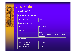

## GPS **Module**

#### • MEB-1000

| <b>Mechanical requirements</b>                       |                                 |                                                                                     |  |
|------------------------------------------------------|---------------------------------|-------------------------------------------------------------------------------------|--|
| <b>20</b>                                            | <b>Weight</b>                   | $\leq 3.5g$                                                                         |  |
| <b>Power consumption</b>                             |                                 |                                                                                     |  |
| 21                                                   | <b>Vcc</b>                      | DC 3.3 $\pm$ 5%                                                                     |  |
| $22 \overline{)}$                                    | <b>Current</b>                  | <b>GPS:</b><br><b>Current</b><br><b>59mA</b><br>mode<br><b>Tricking</b><br>average. |  |
| Fix mode Current 35mA average.<br><b>Environment</b> |                                 |                                                                                     |  |
| 23                                                   | <b>Operating</b><br>temperature | $-30 \sim 85^{\circ}$ C                                                             |  |
| 24                                                   | <b>Humidity</b>                 | $\leq 95\%$                                                                         |  |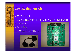## GPS **Evaluation Kit**

- $\blacklozenge$  MEV-1000
- ♦ RS-232 DGPS PORT/RS-232 NMEA PORT/USB
- ♦ GPIO LED
- ♦Reset Key
- ♦BACKUP BATTERY



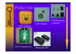# Product line



#### GPS Antenna



#### GPS Module



#### GPS/Bluetooth **CHIPSET**



#### GPS Evaluation kit



#### Bluetooth GPS